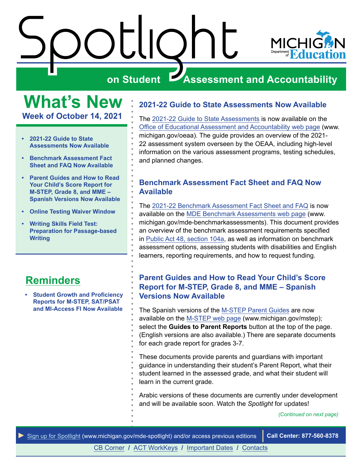

<span id="page-0-0"></span>**What's New Week of October 14, 2021** 

- **2021-22 Guide to State Assessments Now Available**
- **Benchmark Assessment Fact Sheet and FAQ Now Available**
- **Parent Guides and How to Read Your Child's Score Report for M-STEP, Grade 8, and MME – Spanish Versions Now Available**
- **[Online Testing Waiver Window](#page-1-0)**
- **[Writing Skills Field Test:](#page-2-0)  [Preparation for Passage-based](#page-2-0)  [Writing](#page-2-0)**

### **Reminders**

**• [Student Growth and Proficiency](#page-3-0)  [Reports for M-STEP, SAT/PSAT](#page-3-0)  [and MI-Access FI Now Available](#page-3-0)** 

#### **2021-22 Guide to State Assessments Now Available**

The [2021-22 Guide to State Assessments](https://www.michigan.gov/documents/mde/Guide_to_State_Assessments_622260_7.pdf) is now available on the [Office of Educational Assessment and Accountability web page](http://www.michigan.gov/oeaa) (www. [michigan.gov/oeaa\)](https://michigan.gov/oeaa). The guide provides an overview of the 2021- 22 assessment system overseen by the OEAA, including high-level information on the various assessment programs, testing schedules, and planned changes.

#### **Benchmark Assessment Fact Sheet and FAQ Now Available**

The [2021-22 Benchmark Assessment Fact Sheet and FAQ](https://www.michigan.gov/documents/mde/Benchmark_Assessments_Fact_Sheet_and_FAQ_738392_7.pdf) is now available on the [MDE Benchmark Assessments web pa](http://www.michigan.gov/mde-benchmarkassessments)ge (www. [michigan.gov/mde-benchmarkassessments\)](https://michigan.gov/mde-benchmarkassessments). This document provides an overview of the benchmark assessment requirements specified in [Public Act 48, section 104a](http://legislature.mi.gov/doc.aspx?mcl-388-1704a), as well as information on benchmark assessment options, assessing students with disabilities and English learners, reporting requirements, and how to request funding.

#### **Parent Guides and How to Read Your Child's Score Report for M-STEP, Grade 8, and MME – Spanish Versions Now Available**

The Spanish versions of the [M-STEP Parent Guides](https://www.michigan.gov/mde/0,4615,7-140-22709_70117-563165--,00.html) are now available on the [M-STEP web page](http://www.michigan.gov/mstep) [\(www.michigan.gov/mstep](www.michigan.gov/mstep)); select the **Guides to Parent Reports** button at the top of the page. (English versions are also available.) There are separate documents for each grade report for grades 3-7.

These documents provide parents and guardians with important guidance in understanding their student's Parent Report, what their student learned in the assessed grade, and what their student will learn in the current grade.

Arabic versions of these documents are currently under development and will be available soon. Watch the *Spotlight* for updates!

*(Continued on next page)* 



[CB Corner](#page-4-0) **/** [ACT WorkKeys](#page-5-0) **/** [Important Dates](#page-6-0) **/** [Contacts](#page-7-0)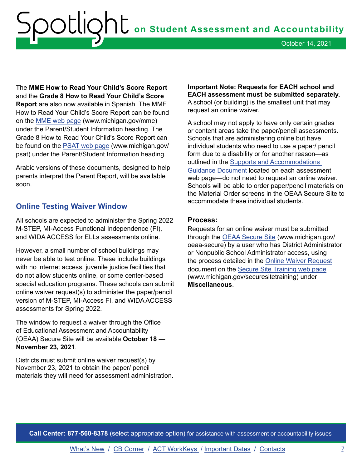<span id="page-1-0"></span>The **MME How to Read Your Child's Score Report**  and the **Grade 8 How to Read Your Child's Score Report** are also now available in Spanish. The MME How to Read Your Child's Score Report can be found on the [MME web page](http://www.michigan.gov/mme) (<www.michigan.gov/mme>) under the Parent/Student Information heading. The Grade 8 How to Read Your Child's Score Report can be found on the [PSAT web page](http://www.michigan.gov/psat) ([www.michigan.gov/](www.michigan.gov) psat) under the Parent/Student Information heading.

Arabic versions of these documents, designed to help parents interpret the Parent Report, will be available soon.

#### **Online Testing Waiver Window**

All schools are expected to administer the Spring 2022 M-STEP, MI-Access Functional Independence (FI), and WIDA ACCESS for ELLs assessments online.

However, a small number of school buildings may never be able to test online. These include buildings with no internet access, juvenile justice facilities that do not allow students online, or some center-based special education programs. These schools can submit online waiver request(s) to administer the paper/pencil version of M-STEP, MI-Access FI, and WIDA ACCESS assessments for Spring 2022.

The window to request a waiver through the Office of Educational Assessment and Accountability (OEAA) Secure Site will be available **October 18 — November 23, 2021**.

Districts must submit online waiver request(s) by November 23, 2021 to obtain the paper/ pencil materials they will need for assessment administration.

**Important Note: Requests for EACH school and EACH assessment must be submitted separately.**  A school (or building) is the smallest unit that may request an online waiver.

A school may not apply to have only certain grades or content areas take the paper/pencil assessments. Schools that are administering online but have individual students who need to use a paper/ pencil form due to a disability or for another reason—as outlined in the [Supports and Accommodations](https://www.michigan.gov/mde/0,4615,7-140-22709_70117-347335--,00.html)  [Guidance Document](https://www.michigan.gov/mde/0,4615,7-140-22709_70117-347335--,00.html) located on each assessment web page—do not need to request an online waiver. Schools will be able to order paper/pencil materials on the Material Order screens in the OEAA Secure Site to accommodate these individual students.

#### **Process:**

Requests for an online waiver must be submitted through the [OEAA Secure Site](http://www.michigan.gov/oeaa-secure) ([www.michigan.gov/](www.michigan.gov) oeaa-secure) by a user who has District Administrator or Nonpublic School Administrator access, using the process detailed in the [Online Waiver Request](https://www.michigan.gov/documents/mde/Online_Waiver_Request_Quick_Reference_502848_7.pdf)  document on the [Secure Site Training web page](http://www.michigan.gov/securesitetraining) [\(www.michigan.gov/securesitetraining](www.michigan.gov/securesitetraining)) under **Miscellaneous**.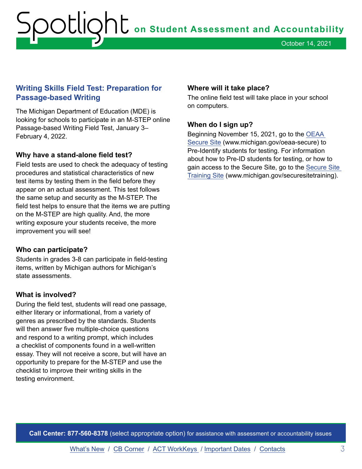October 14, 2021

#### <span id="page-2-0"></span>**Writing Skills Field Test: Preparation for Passage-based Writing**

The Michigan Department of Education (MDE) is looking for schools to participate in an M-STEP online Passage-based Writing Field Test, January 3– February 4, 2022.

#### **Why have a stand-alone field test?**

Field tests are used to check the adequacy of testing procedures and statistical characteristics of new test items by testing them in the field before they appear on an actual assessment. This test follows the same setup and security as the M-STEP. The field test helps to ensure that the items we are putting on the M-STEP are high quality. And, the more writing exposure your students receive, the more improvement you will see!

#### **Who can participate?**

Students in grades 3-8 can participate in field-testing items, written by Michigan authors for Michigan's state assessments.

#### **What is involved?**

During the field test, students will read one passage, either literary or informational, from a variety of genres as prescribed by the standards. Students will then answer five multiple-choice questions and respond to a writing prompt, which includes a checklist of components found in a well-written essay. They will not receive a score, but will have an opportunity to prepare for the M-STEP and use the checklist to improve their writing skills in the testing environment.

#### **Where will it take place?**

The online field test will take place in your school on computers.

#### **When do I sign up?**

Beginning November 15, 2021, go to the [OEAA](http://www.michigan.gov/oeaa-secure)  [Secure Site](http://www.michigan.gov/oeaa-secure) (<www.michigan.gov/oeaa-secure>) to Pre-Identify students for testing. For information about how to Pre-ID students for testing, or how to gain access to the Secure Site, go to the [Secure Site](http://www.michigan.gov/securesitetraining)  [Training Site](http://www.michigan.gov/securesitetraining) [\(www.michigan.gov/securesitetraining\)](www.michigan.gov/securesitetraining).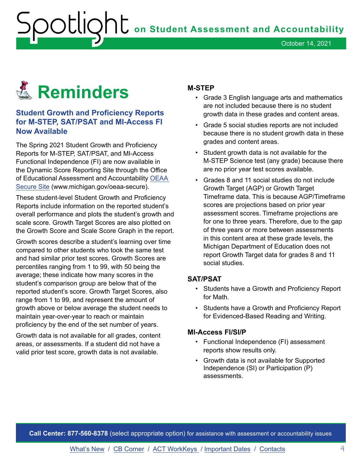## <span id="page-3-0"></span>Reminders **Reminders**

#### **Student Growth and Proficiency Reports for M-STEP, SAT/PSAT and MI-Access FI Now Available**

The Spring 2021 Student Growth and Proficiency Reports for M-STEP, SAT/PSAT, and MI-Access Functional Independence (FI) are now available in the Dynamic Score Reporting Site through the Office of Educational Assessment and Accountability [OEAA](http://www.michigan.gov/oeaa-secure)  [Secure Site](http://www.michigan.gov/oeaa-secure) ([www.michigan.gov/oeaa-secure\)](www.michigan.gov/oeaa-secure).

These student-level Student Growth and Proficiency Reports include information on the reported student's overall performance and plots the student's growth and scale score. Growth Target Scores are also plotted on the Growth Score and Scale Score Graph in the report.

Growth scores describe a student's learning over time compared to other students who took the same test and had similar prior test scores. Growth Scores are percentiles ranging from 1 to 99, with 50 being the average; these indicate how many scores in the student's comparison group are below that of the reported student's score. Growth Target Scores, also range from 1 to 99, and represent the amount of growth above or below average the student needs to maintain year-over-year to reach or maintain proficiency by the end of the set number of years.

Growth data is not available for all grades, content areas, or assessments. If a student did not have a valid prior test score, growth data is not available.

#### **M-STEP**

- Grade 3 English language arts and mathematics are not included because there is no student growth data in these grades and content areas.
- Grade 5 social studies reports are not included because there is no student growth data in these grades and content areas.
- Student growth data is not available for the M-STEP Science test (any grade) because there are no prior year test scores available.
- Grades 8 and 11 social studies do not include Growth Target (AGP) or Growth Target Timeframe data. This is because AGP/Timeframe scores are projections based on prior year assessment scores. Timeframe projections are for one to three years. Therefore, due to the gap of three years or more between assessments in this content area at these grade levels, the Michigan Department of Education does not report Growth Target data for grades 8 and 11 social studies.

#### **SAT/PSAT**

- Students have a Growth and Proficiency Report for Math.
- Students have a Growth and Proficiency Report for Evidenced-Based Reading and Writing.

#### **MI-Access FI/SI/P**

- Functional Independence (FI) assessment reports show results only.
- Growth data is not available for Supported Independence (SI) or Participation (P) assessments.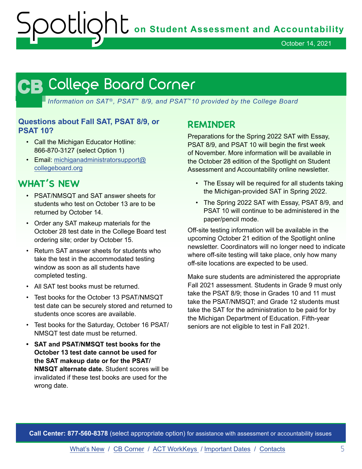October 14, 2021

## <span id="page-4-0"></span>**CB CB**

*Information on SAT*®*, PSAT*™ *8/9, and PSAT*™*10 provided by the College Board* 

#### **Questions about Fall SAT, PSAT 8/9, or PSAT 10?**

- Call the Michigan Educator Hotline: 866-870-3127 (select Option 1)
- Email: [michiganadministratorsupport@](mailto:michiganadministratorsupport%40collegeboard.org?subject=) [collegeboard.org](mailto:michiganadministratorsupport%40collegeboard.org?subject=)

#### **WHAT'S NEW**

- PSAT/NMSQT and SAT answer sheets for students who test on October 13 are to be returned by October 14.
- Order any SAT makeup materials for the October 28 test date in the College Board test ordering site; order by October 15.
- Return SAT answer sheets for students who take the test in the accommodated testing window as soon as all students have completed testing.
- All SAT test books must be returned.
- Test books for the October 13 PSAT/NMSQT test date can be securely stored and returned to students once scores are available.
- Test books for the Saturday, October 16 PSAT/ NMSQT test date must be returned.
- **SAT and PSAT/NMSQT test books for the October 13 test date cannot be used for the SAT makeup date or for the PSAT/ NMSQT alternate date.** Student scores will be invalidated if these test books are used for the wrong date.

#### **REMINDER**

Preparations for the Spring 2022 SAT with Essay, PSAT 8/9, and PSAT 10 will begin the first week of November. More information will be available in the October 28 edition of the Spotlight on Student Assessment and Accountability online newsletter.

- The Essay will be required for all students taking the Michigan-provided SAT in Spring 2022.
- The Spring 2022 SAT with Essay, PSAT 8/9, and PSAT 10 will continue to be administered in the paper/pencil mode.

Off-site testing information will be available in the upcoming October 21 edition of the Spotlight online newsletter. Coordinators will no longer need to indicate where off-site testing will take place, only how many off-site locations are expected to be used.

Make sure students are administered the appropriate Fall 2021 assessment. Students in Grade 9 must only take the PSAT 8/9; those in Grades 10 and 11 must take the PSAT/NMSQT; and Grade 12 students must take the SAT for the administration to be paid for by the Michigan Department of Education. Fifth-year seniors are not eligible to test in Fall 2021.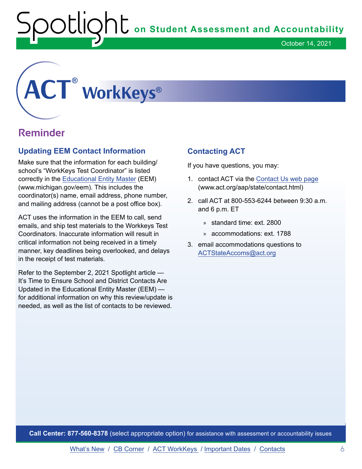### <span id="page-5-0"></span>**® ®**

#### **Reminder**

#### **Updating EEM Contact Information**

Make sure that the information for each building/ school's "WorkKeys Test Coordinator" is listed correctly in the [Educational Entity Master](http://www.michigan.gov/eem) (EEM) (<www.michigan.gov/eem>). This includes the coordinator(s) name, email address, phone number, and mailing address (cannot be a post office box).

ACT uses the information in the EEM to call, send emails, and ship test materials to the Workkeys Test Coordinators. Inaccurate information will result in critical information not being received in a timely manner, key deadlines being overlooked, and delays in the receipt of test materials.

Refer to the September 2, 2021 Spotlight article — It's Time to Ensure School and District Contacts Are Updated in the Educational Entity Master (EEM) for additional information on why this review/update is needed, as well as the list of contacts to be reviewed.

#### **Contacting ACT**

If you have questions, you may:

- 1. contact ACT via the [Contact Us web page](http://www.act.org/aap/state/contact.html) (<www.act.org/aap/state/contact.html>)
- 2. call ACT at 800-553-6244 between 9:30 a.m. and 6 p.m. ET
	- » standard time: ext. 2800
	- » accommodations: ext. 1788
- 3. email accommodations questions to [ACTStateAccoms@act.org](mailto:ACTStateAccoms%40act.org?subject=Requesting%20Assistance)

**Call Center: 877-560-8378** (select appropriate option) for assistance with assessment or accountability issues

[What's New](#page-0-0) / [CB Corner](#page-4-0) / ACT WorkKeys / [Important Dates](#page-6-0) / [Contacts](#page-7-0) 6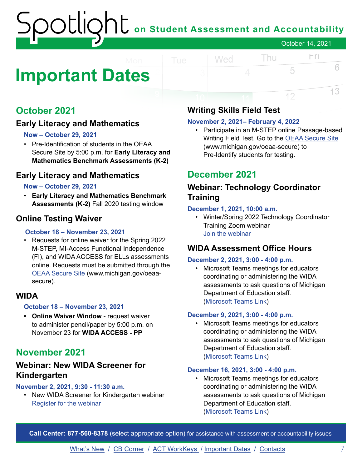### **on Student Assessment and Accountability** October 14, 2021

### <span id="page-6-0"></span>**Important Dates**

#### **October 2021**

#### **Early Literacy and Mathematics**

#### **Now – October 29, 2021**

• Pre-Identification of students in the OEAA Secure Site by 5:00 p.m. for **Early Literacy and Mathematics Benchmark Assessments (K-2)** 

#### **Early Literacy and Mathematics**

#### **Now – October 29, 2021**

• **Early Literacy and Mathematics Benchmark Assessments (K-2)** Fall 2020 testing window

#### **Online Testing Waiver**

#### **October 18 – November 23, 2021**

• Requests for online waiver for the Spring 2022 M-STEP, MI-Access Functional Independence (FI), and WIDA ACCESS for ELLs assessments online. Requests must be submitted through the [OEAA Secure Site](http://www.michigan.gov/oeaa-secure) (<www.michigan.gov/oeaa>secure).

#### **WIDA**

#### **October 18 – November 23, 2021**

**• Online Waiver Window** - request waiver to administer pencil/paper by 5:00 p.m. on November 23 for **WIDA ACCESS - PP** 

#### **November 2021**

#### **Webinar: New WIDA Screener for Kindergarten**

#### **November 2, 2021, 9:30 - 11:30 a.m.**

• New WIDA Screener for Kindergarten webinar Register for [the webinar](https://forms.gle/qkFZeRrch2ujira59) 

#### **Writing Skills Field Test**

Wed

#### **November 2, 2021– February 4, 2022**

• Participate in an M-STEP online Passage-based Writing Field Test. Go to the [OEAA Secure Site](http://www.michigan.gov/oeaa-secure)  (www.michigan.gov/oeaa-secure) to Pre-Identify students for testing.

Thu

 $\Gamma$ 

5

12

6

13

#### **December 2021**

#### **Webinar: Technology Coordinator Training**

#### **December 1, 2021, 10:00 a.m.**

• Winter/Spring 2022 Technology Coordinator Training Zoom webinar [Join the webinar](https://datarecognitioncorp.zoom.us/j/84084055143)

#### **WIDA Assessment Office Hours**

#### **December 2, 2021, 3:00 - 4:00 p.m.**

• Microsoft Teams meetings for educators coordinating or administering the WIDA assessments to ask questions of Michigan Department of Education staff. ([Microsoft Teams Link](https://teams.microsoft.com/l/meetup-join/19%3ameeting_ZTI2YjQwZjUtMjU0NC00ZmQ1LWE1YWItNDI2ZjYwN2I1N2E5%40thread.v2/0?context=%7b%22Tid%22%3a%22d5fb7087-3777-42ad-966a-892ef47225d1%22%2c%22Oid%22%3a%221bb5cc60-e637-4bde-a17c-fc156bd19bc2%22%7d))

#### **December 9, 2021, 3:00 - 4:00 p.m.**

• Microsoft Teams meetings for educators coordinating or administering the WIDA assessments to ask questions of Michigan Department of Education staff. ([Microsoft Teams Link](https://teams.microsoft.com/l/meetup-join/19%3ameeting_ZTI2YjQwZjUtMjU0NC00ZmQ1LWE1YWItNDI2ZjYwN2I1N2E5%40thread.v2/0?context=%7b%22Tid%22%3a%22d5fb7087-3777-42ad-966a-892ef47225d1%22%2c%22Oid%22%3a%221bb5cc60-e637-4bde-a17c-fc156bd19bc2%22%7d))

#### **December 16, 2021, 3:00 - 4:00 p.m.**

• Microsoft Teams meetings for educators coordinating or administering the WIDA assessments to ask questions of Michigan Department of Education staff. ([Microsoft Teams Link](https://teams.microsoft.com/l/meetup-join/19%3ameeting_ZTI2YjQwZjUtMjU0NC00ZmQ1LWE1YWItNDI2ZjYwN2I1N2E5%40thread.v2/0?context=%7b%22Tid%22%3a%22d5fb7087-3777-42ad-966a-892ef47225d1%22%2c%22Oid%22%3a%221bb5cc60-e637-4bde-a17c-fc156bd19bc2%22%7d))